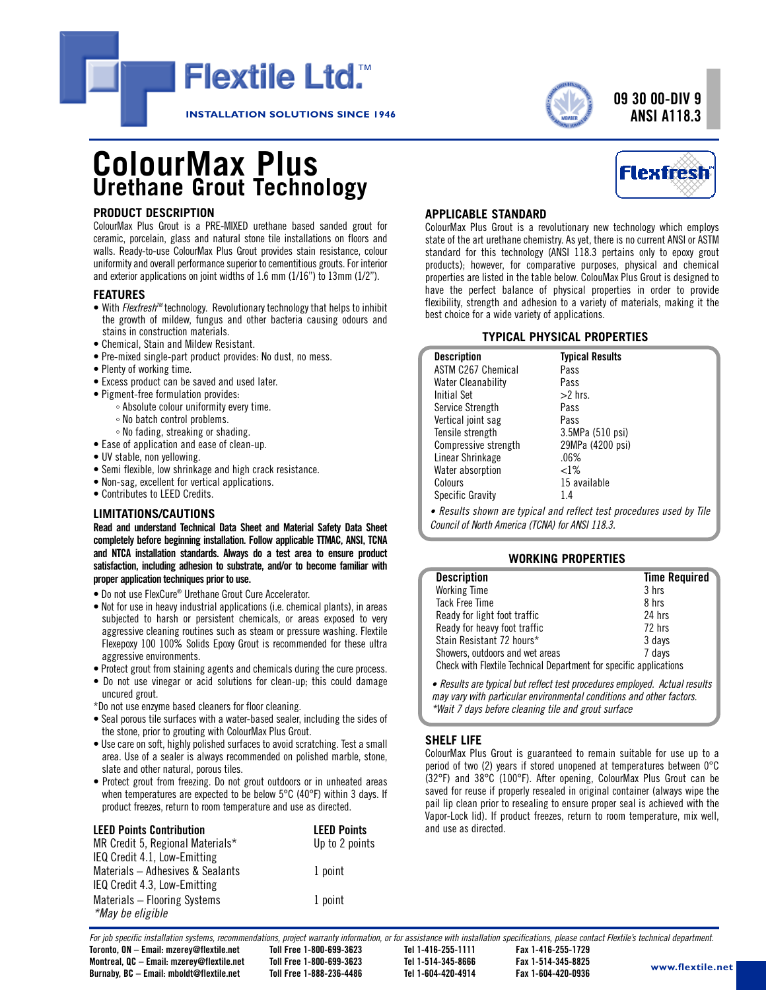



# **09 30 00-DIV 9 ANSI A118.3**

# **ColourMax Plus Urethane Grout Technology**

### **PRODUCT DESCRIPTION**

ColourMax Plus Grout is a PRE-MIXED urethane based sanded grout for ceramic, porcelain, glass and natural stone tile installations on floors and walls. Ready-to-use ColourMax Plus Grout provides stain resistance, colour uniformity and overall performance superior to cementitious grouts. For interior and exterior applications on joint widths of 1.6 mm (1/16") to 13mm (1/2").

### **FEATURES**

- With *Flexfresh<sup>TM</sup>* technology. Revolutionary technology that helps to inhibit the growth of mildew, fungus and other bacteria causing odours and stains in construction materials.
- Chemical, Stain and Mildew Resistant.
- Pre-mixed single-part product provides: No dust, no mess.
- Plenty of working time.
- Excess product can be saved and used later.
- Pigment-free formulation provides:
	- Absolute colour uniformity every time.
		- No batch control problems.
	- No fading, streaking or shading.
- Ease of application and ease of clean-up.
- UV stable, non yellowing.
- Semi flexible, low shrinkage and high crack resistance.
- Non-sag, excellent for vertical applications.
- Contributes to LEED Credits.

### **LIMITATIONS/CAUTIONS**

**Read and understand Technical Data Sheet and Material Safety Data Sheet completely before beginning installation. Follow applicable TTMAC, ANSI, TCNA and NTCA installation standards. Always do a test area to ensure product satisfaction, including adhesion to substrate, and/or to become familiar with proper application techniques priorto use.**

- Do not use FlexCure® Urethane Grout Cure Accelerator.
- Not for use in heavy industrial applications (i.e. chemical plants), in areas subjected to harsh or persistent chemicals, or areas exposed to very aggressive cleaning routines such as steam or pressure washing. Flextile Flexepoxy 100 100% Solids Epoxy Grout is recommended for these ultra aggressive environments.
- Protect grout from staining agents and chemicals during the cure process.
- Do not use vinegar or acid solutions for clean-up; this could damage uncured grout.
- \*Do not use enzyme based cleaners for floor cleaning.
- Seal porous tile surfaces with a water-based sealer, including the sides of the stone, prior to grouting with ColourMax Plus Grout.
- Use care on soft, highly polished surfaces to avoid scratching. Test a small area. Use of a sealer is always recommended on polished marble, stone, slate and other natural, porous tiles.
- Protect grout from freezing. Do not grout outdoors or in unheated areas when temperatures are expected to be below 5°C (40°F) within 3 days. If product freezes, return to room temperature and use as directed.

| <b>LEED Points Contribution</b>  | <b>LEED Points</b> |  |  |
|----------------------------------|--------------------|--|--|
| MR Credit 5, Regional Materials* | Up to 2 points     |  |  |
| IEQ Credit 4.1, Low-Emitting     |                    |  |  |
| Materials - Adhesives & Sealants | 1 point            |  |  |
| IEQ Credit 4.3, Low-Emitting     |                    |  |  |
| Materials - Flooring Systems     | 1 point            |  |  |
| *May be eligible                 |                    |  |  |



### **APPLICABLE STANDARD**

ColourMax Plus Grout is a revolutionary new technology which employs state of the art urethane chemistry. As yet, there is no current ANSI or ASTM standard for this technology (ANSI 118.3 pertains only to epoxy grout products); however, for comparative purposes, physical and chemical properties are listed in the table below. ColouMax Plus Grout is designed to have the perfect balance of physical properties in order to provide flexibility, strength and adhesion to a variety of materials, making it the best choice for a wide variety of applications.

### **TYPICAL PHYSICAL PROPERTIES**

| <b>Description</b>        | <b>Typical Results</b> |
|---------------------------|------------------------|
| <b>ASTM C267 Chemical</b> | Pass                   |
| <b>Water Cleanability</b> | Pass                   |
| Initial Set               | $>2$ hrs.              |
| Service Strength          | Pass                   |
| Vertical joint sag        | Pass                   |
| Tensile strength          | 3.5MPa (510 psi)       |
| Compressive strength      | 29MPa (4200 psi)       |
| Linear Shrinkage          | $.06\%$                |
| Water absorption          | ${<}1\%$               |
| Colours                   | 15 available           |
| <b>Specific Gravity</b>   | 1.4                    |

*• Results shown are typical and reflect test procedures used by Tile Council of North America (TCNA) for ANSI 118.3.*

### **WORKING PROPERTIES**

| <b>Description</b>                                                 | <b>Time Required</b> |  |  |  |
|--------------------------------------------------------------------|----------------------|--|--|--|
| <b>Working Time</b>                                                | 3 hrs                |  |  |  |
| <b>Tack Free Time</b>                                              | 8 hrs                |  |  |  |
| Ready for light foot traffic                                       | 24 hrs               |  |  |  |
| Ready for heavy foot traffic                                       | 72 hrs               |  |  |  |
| Stain Resistant 72 hours*                                          | 3 days               |  |  |  |
| Showers, outdoors and wet areas                                    | 7 days               |  |  |  |
| Check with Flextile Technical Department for specific applications |                      |  |  |  |
|                                                                    |                      |  |  |  |

*• Results aretypical but reflect test proceduresemployed. Actual results may vary with particular environmental conditions and other factors. \*Wait 7 days before cleaning tile and grout surface*

### **SHELF LIFE**

ColourMax Plus Grout is guaranteed to remain suitable for use up to a period of two (2) years if stored unopened at temperatures between 0°C (32°F) and 38°C (100°F). After opening, ColourMax Plus Grout can be saved for reuse if properly resealed in original container (always wipe the pail lip clean prior to resealing to ensure proper seal is achieved with the Vapor-Lock lid). If product freezes, return to room temperature, mix well, and use as directed.

For iob specific installation systems, recommendations, project warranty information, or for assistance with installation specifications, please contact Flextile's technical department.

**Toronto, ON – Email: mzerey@flextile.net Toll Free 1-800-699-3623 Tel 1-416-255-1111 Fax 1-416-255-1729 Montreal, QC – Email: mzerey@flextile.net Toll Free 1-800-699-3623 Tel 1-514-345-8666 Fax 1-514-345-8825**

**Burnaby, BC – Email: mboldt@flextile.net Toll Free 1-888-236-4486 Tel 1-604-420-4914 Fax 1-604-420-0936**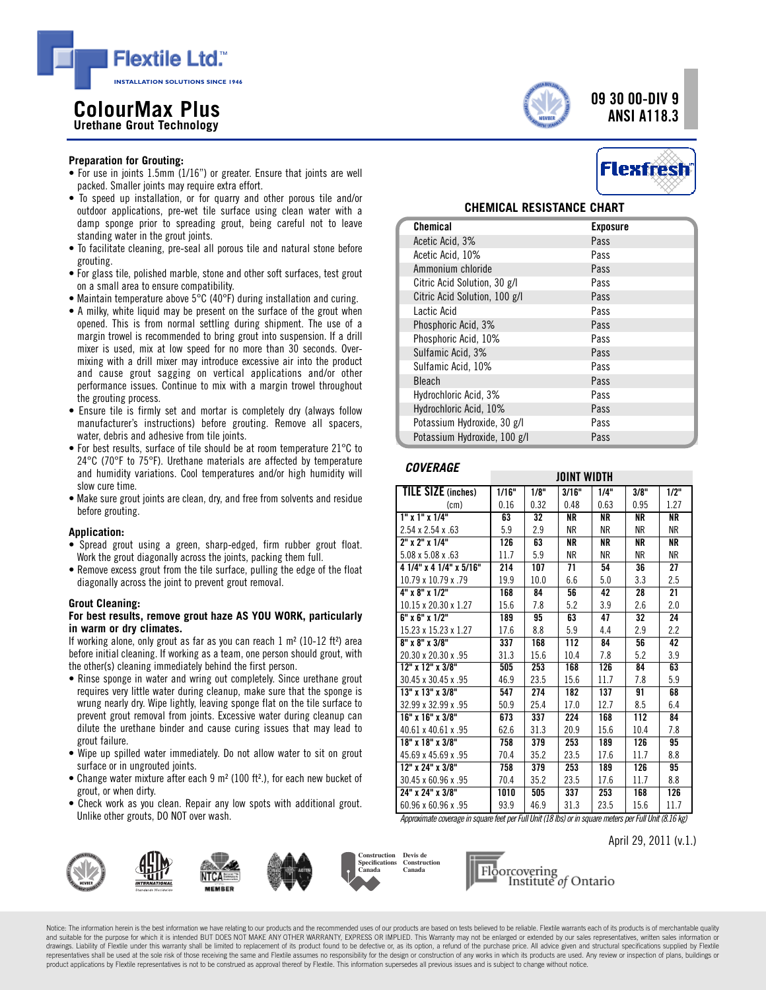

# **<sup>09</sup> <sup>30</sup> 00-DIV <sup>9</sup> Co ANSI A118.3 lourMax Plus Urethane Grout Technology**



- For use in joints 1.5mm (1/16") or greater. Ensure that joints are well packed. Smaller joints may require extra effort.
- To speed up installation, or for quarry and other porous tile and/or outdoor applications, pre-wet tile surface using clean water with a damp sponge prior to spreading grout, being careful not to leave standing water in the grout joints.
- To facilitate cleaning, pre-seal all porous tile and natural stone before grouting.
- For glass tile, polished marble, stone and other soft surfaces, test grout on a small area to ensure compatibility.
- Maintain temperature above 5°C (40°F) during installation and curing.
- A milky, white liquid may be present on the surface of the grout when opened. This is from normal settling during shipment. The use of a margin trowel is recommended to bring grout into suspension. If a drill mixer is used, mix at low speed for no more than 30 seconds. Overmixing with a drill mixer may introduce excessive air into the product and cause grout sagging on vertical applications and/or other performance issues. Continue to mix with a margin trowel throughout the grouting process.
- Ensure tile is firmly set and mortar is completely dry (always follow manufacturer's instructions) before grouting. Remove all spacers, water, debris and adhesive from tile joints.
- For best results, surface of tile should be at room temperature 21°C to 24°C (70°F to 75°F). Urethane materials are affected by temperature and humidity variations. Cool temperatures and/or high humidity will slow cure time.
- Make sure grout joints are clean, dry, and free from solvents and residue before grouting.

### **Application:**

- Spread grout using a green, sharp-edged, firm rubber grout float. Work the grout diagonally across the joints, packing them full.
- Remove excess grout from the tile surface, pulling the edge of the float diagonally across the joint to prevent grout removal.

### **Grout Cleaning:**

### **For best results, remove grout haze AS YOU WORK, particularly in warm or dry climates.**

If working alone, only grout as far as you can reach  $1 \text{ m}^2$  (10-12 ft<sup>2</sup>) area before initial cleaning. If working as a team, one person should grout, with the other(s) cleaning immediately behind the first person.

- Rinse sponge in water and wring out completely. Since urethane grout requires very little water during cleanup, make sure that the sponge is wrung nearly dry. Wipe lightly, leaving sponge flat on the tile surface to prevent grout removal from joints. Excessive water during cleanup can dilute the urethane binder and cause curing issues that may lead to grout failure.
- Wipe up spilled water immediately. Do not allow water to sit on grout surface or in ungrouted joints.
- Change water mixture after each 9 m² (100 ft².), for each new bucket of grout, or when dirty.
- Check work as you clean. Repair any low spots with additional grout. Unlike other grouts, DO NOT over wash.





### **CHEMICAL RESISTANCE CHART**

| Chemical                      | <b>Exposure</b> |
|-------------------------------|-----------------|
| Acetic Acid, 3%               | Pass            |
| Acetic Acid, 10%              | Pass            |
| Ammonium chloride             | Pass            |
| Citric Acid Solution, 30 g/l  | Pass            |
| Citric Acid Solution, 100 g/l | Pass            |
| Lactic Acid                   | Pass            |
| Phosphoric Acid, 3%           | Pass            |
| Phosphoric Acid, 10%          | Pass            |
| Sulfamic Acid, 3%             | Pass            |
| Sulfamic Acid, 10%            | Pass            |
| <b>Bleach</b>                 | Pass            |
| Hydrochloric Acid, 3%         | Pass            |
| Hydrochloric Acid, 10%        | Pass            |
| Potassium Hydroxide, 30 g/l   | Pass            |
| Potassium Hydroxide, 100 g/l  | Pass            |

### *COVERAGE*

|                              | JOINT WIDTH |      |           |           |           |           |
|------------------------------|-------------|------|-----------|-----------|-----------|-----------|
| <b>TILE SIZE</b> (inches)    | 1/16"       | 1/8" | 3/16"     | 1/4"      | 3/8"      | 1/2"      |
| (c <sub>m</sub> )            | 0.16        | 0.32 | 0.48      | 0.63      | 0.95      | 1.27      |
| $1"$ x $1"$ x $1/4"$         | 63          | 32   | <b>NR</b> | ΝR        | <b>NR</b> | <b>NR</b> |
| $2.54 \times 2.54 \times 63$ | 5.9         | 2.9  | <b>NR</b> | <b>NR</b> | <b>NR</b> | ΝR        |
| 2" x 2" x 1/4"               | 126         | 63   | <b>NR</b> | ΝR        | ΝR        | NR.       |
| 5.08 x 5.08 x 63             | 11.7        | 5.9  | ΝR        | ΝR        | ΝR        | NR        |
| 4 1/4" x 4 1/4" x 5/16"      | 214         | 107  | 71        | 54        | 36        | 27        |
| 10.79 x 10.79 x .79          | 19.9        | 10.0 | 6.6       | 5.0       | 3.3       | 2.5       |
| 4" x 8" x 1/2"               | 168         | 84   | 56        | 42        | 28        | 21        |
| 10.15 x 20.30 x 1.27         | 15.6        | 7.8  | 5.2       | 3.9       | 2.6       | 2.0       |
| 6" x 6" x 1/2"               | 189         | 95   | 63        | 47        | 32        | 24        |
| 15.23 x 15.23 x 1.27         | 17.6        | 8.8  | 5.9       | 4.4       | 2.9       | 2.2       |
| 8" x 8" x 3/8"               | 337         | 168  | 112       | 84        | 56        | 42        |
| 20.30 x 20.30 x 95           | 31.3        | 15.6 | 10.4      | 7.8       | 5.2       | 3.9       |
| 12" x 12" x 3/8"             | 505         | 253  | 168       | 126       | 84        | 63        |
| 30.45 x 30.45 x .95          | 46.9        | 23.5 | 15.6      | 11.7      | 7.8       | 5.9       |
| 13" x 13" x 3/8"             | 547         | 274  | 182       | 137       | 91        | 68        |
| 32.99 x 32.99 x .95          | 50.9        | 25.4 | 17.0      | 12.7      | 8.5       | 6.4       |
| 16" x 16" x 3/8"             | 673         | 337  | 224       | 168       | 112       | 84        |
| 40.61 x 40.61 x .95          | 62.6        | 31.3 | 20.9      | 15.6      | 10.4      | 7.8       |
| 18" x 18" x 3/8"             | 758         | 379  | 253       | 189       | 126       | 95        |
| 45.69 x 45.69 x .95          | 70.4        | 35.2 | 23.5      | 17.6      | 11.7      | 8.8       |
| 12" x 24" x 3/8"             | 758         | 379  | 253       | 189       | 126       | 95        |
| 30.45 x 60.96 x .95          | 70.4        | 35.2 | 23.5      | 17.6      | 11.7      | 8.8       |
| 24" x 24" x 3/8"             | 1010        | 505  | 337       | 253       | 168       | 126       |
| 60.96 x 60.96 x .95          | 93.9        | 46.9 | 31.3      | 23.5      | 15.6      | 11.7      |

*Approximatecoveragein squarefeet perFull Unit(18 lbs)orin squaremeters perFull Unit(8.16 kg)*

April 29, 2011 (v.1.)



Notice: The information herein is the best information we have relating to our products and the recommended uses of our products are based on tests believed to be reliable. Flextile warrants each of its products is of merc and suitable for the purpose for which it is intended BUT DOES NOT MAKE ANY OTHER WARRANTY, EXPRESS OR IMPLIED. This Warranty may not be enlarged or extended by our sales representatives, written sales information or drawings. Liability of Flextile under this warranty shall be limited to replacement of its product found to be defective or, as its option, a refund of the purchase price. All advice given and structural specifications sup representatives shall be used at the sole risk of those receiving the same and Flextile assumes no responsibility for the design or construction of any works in which its products are used. Any review or inspection of plan